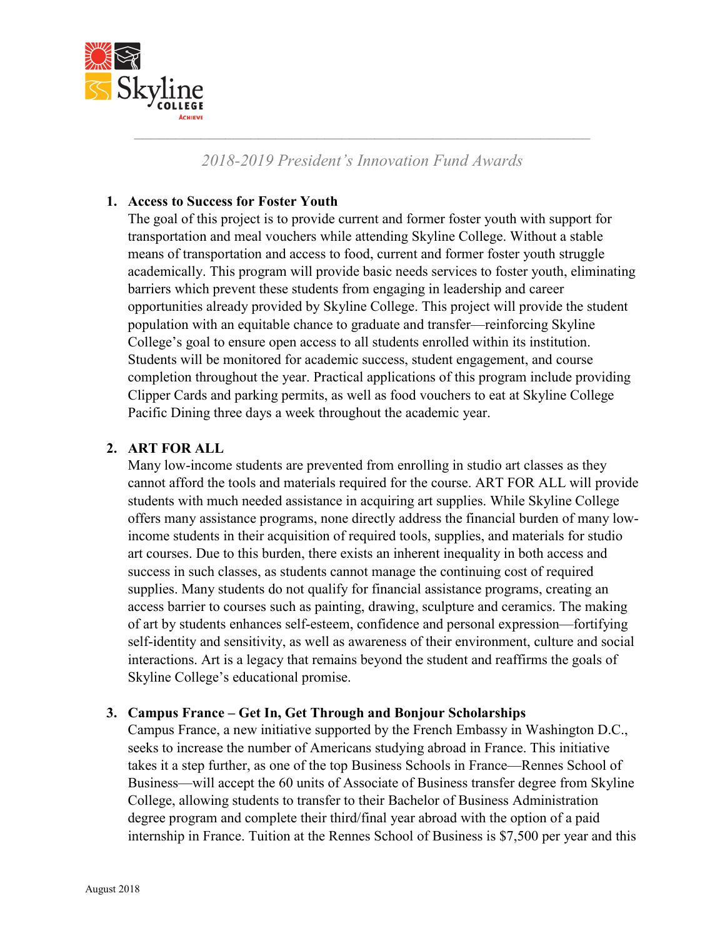

*2018-2019 President's Innovation Fund Awards*

# **1. Access to Success for Foster Youth**

The goal of this project is to provide current and former foster youth with support for transportation and meal vouchers while attending Skyline College. Without a stable means of transportation and access to food, current and former foster youth struggle academically. This program will provide basic needs services to foster youth, eliminating barriers which prevent these students from engaging in leadership and career opportunities already provided by Skyline College. This project will provide the student population with an equitable chance to graduate and transfer—reinforcing Skyline College's goal to ensure open access to all students enrolled within its institution. Students will be monitored for academic success, student engagement, and course completion throughout the year. Practical applications of this program include providing Clipper Cards and parking permits, as well as food vouchers to eat at Skyline College Pacific Dining three days a week throughout the academic year.

# **2. ART FOR ALL**

Many low-income students are prevented from enrolling in studio art classes as they cannot afford the tools and materials required for the course. ART FOR ALL will provide students with much needed assistance in acquiring art supplies. While Skyline College offers many assistance programs, none directly address the financial burden of many lowincome students in their acquisition of required tools, supplies, and materials for studio art courses. Due to this burden, there exists an inherent inequality in both access and success in such classes, as students cannot manage the continuing cost of required supplies. Many students do not qualify for financial assistance programs, creating an access barrier to courses such as painting, drawing, sculpture and ceramics. The making of art by students enhances self-esteem, confidence and personal expression—fortifying self-identity and sensitivity, as well as awareness of their environment, culture and social interactions. Art is a legacy that remains beyond the student and reaffirms the goals of Skyline College's educational promise.

## **3. Campus France – Get In, Get Through and Bonjour Scholarships**

Campus France, a new initiative supported by the French Embassy in Washington D.C., seeks to increase the number of Americans studying abroad in France. This initiative takes it a step further, as one of the top Business Schools in France—Rennes School of Business—will accept the 60 units of Associate of Business transfer degree from Skyline College, allowing students to transfer to their Bachelor of Business Administration degree program and complete their third/final year abroad with the option of a paid internship in France. Tuition at the Rennes School of Business is \$7,500 per year and this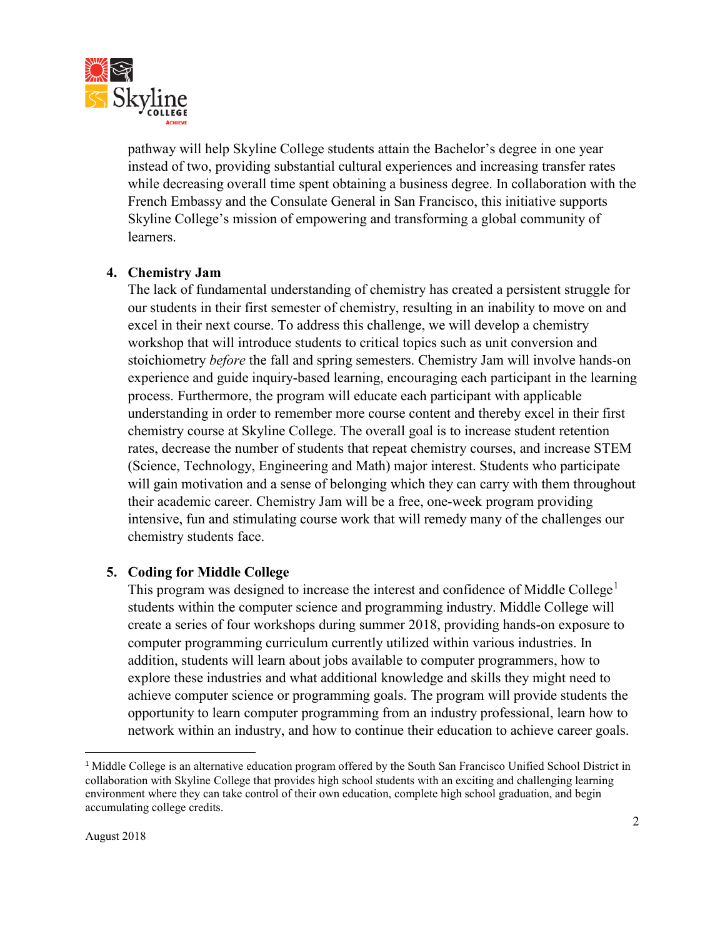

pathway will help Skyline College students attain the Bachelor's degree in one year instead of two, providing substantial cultural experiences and increasing transfer rates while decreasing overall time spent obtaining a business degree. In collaboration with the French Embassy and the Consulate General in San Francisco, this initiative supports Skyline College's mission of empowering and transforming a global community of learners.

## **4. Chemistry Jam**

The lack of fundamental understanding of chemistry has created a persistent struggle for our students in their first semester of chemistry, resulting in an inability to move on and excel in their next course. To address this challenge, we will develop a chemistry workshop that will introduce students to critical topics such as unit conversion and stoichiometry *before* the fall and spring semesters. Chemistry Jam will involve hands-on experience and guide inquiry-based learning, encouraging each participant in the learning process. Furthermore, the program will educate each participant with applicable understanding in order to remember more course content and thereby excel in their first chemistry course at Skyline College. The overall goal is to increase student retention rates, decrease the number of students that repeat chemistry courses, and increase STEM (Science, Technology, Engineering and Math) major interest. Students who participate will gain motivation and a sense of belonging which they can carry with them throughout their academic career. Chemistry Jam will be a free, one-week program providing intensive, fun and stimulating course work that will remedy many of the challenges our chemistry students face.

## **5. Coding for Middle College**

This program was designed to increase the interest and confidence of Middle College<sup>[1](#page-1-0)</sup> students within the computer science and programming industry. Middle College will create a series of four workshops during summer 2018, providing hands-on exposure to computer programming curriculum currently utilized within various industries. In addition, students will learn about jobs available to computer programmers, how to explore these industries and what additional knowledge and skills they might need to achieve computer science or programming goals. The program will provide students the opportunity to learn computer programming from an industry professional, learn how to network within an industry, and how to continue their education to achieve career goals.

<span id="page-1-0"></span><sup>&</sup>lt;sup>1</sup> Middle College is an alternative education program offered by the South San Francisco Unified School District in collaboration with Skyline College that provides high school students with an exciting and challenging learning environment where they can take control of their own education, complete high school graduation, and begin accumulating college credits.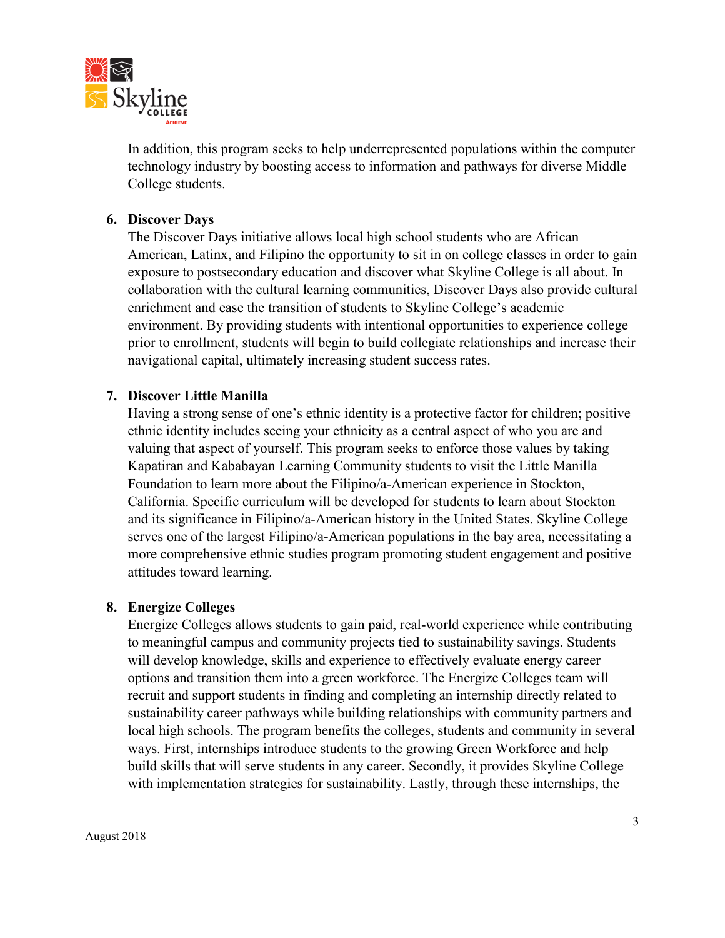

In addition, this program seeks to help underrepresented populations within the computer technology industry by boosting access to information and pathways for diverse Middle College students.

#### **6. Discover Days**

The Discover Days initiative allows local high school students who are African American, Latinx, and Filipino the opportunity to sit in on college classes in order to gain exposure to postsecondary education and discover what Skyline College is all about. In collaboration with the cultural learning communities, Discover Days also provide cultural enrichment and ease the transition of students to Skyline College's academic environment. By providing students with intentional opportunities to experience college prior to enrollment, students will begin to build collegiate relationships and increase their navigational capital, ultimately increasing student success rates.

#### **7. Discover Little Manilla**

Having a strong sense of one's ethnic identity is a protective factor for children; positive ethnic identity includes seeing your ethnicity as a central aspect of who you are and valuing that aspect of yourself. This program seeks to enforce those values by taking Kapatiran and Kababayan Learning Community students to visit the Little Manilla Foundation to learn more about the Filipino/a-American experience in Stockton, California. Specific curriculum will be developed for students to learn about Stockton and its significance in Filipino/a-American history in the United States. Skyline College serves one of the largest Filipino/a-American populations in the bay area, necessitating a more comprehensive ethnic studies program promoting student engagement and positive attitudes toward learning.

#### **8. Energize Colleges**

Energize Colleges allows students to gain paid, real-world experience while contributing to meaningful campus and community projects tied to sustainability savings. Students will develop knowledge, skills and experience to effectively evaluate energy career options and transition them into a green workforce. The Energize Colleges team will recruit and support students in finding and completing an internship directly related to sustainability career pathways while building relationships with community partners and local high schools. The program benefits the colleges, students and community in several ways. First, internships introduce students to the growing Green Workforce and help build skills that will serve students in any career. Secondly, it provides Skyline College with implementation strategies for sustainability. Lastly, through these internships, the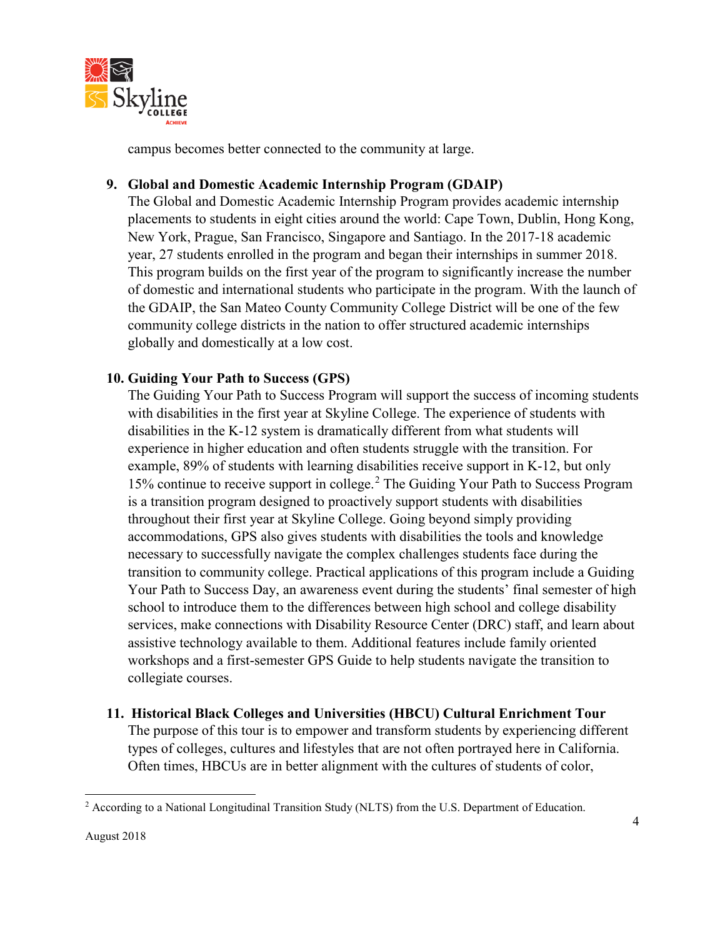

campus becomes better connected to the community at large.

## **9. Global and Domestic Academic Internship Program (GDAIP)**

The Global and Domestic Academic Internship Program provides academic internship placements to students in eight cities around the world: Cape Town, Dublin, Hong Kong, New York, Prague, San Francisco, Singapore and Santiago. In the 2017-18 academic year, 27 students enrolled in the program and began their internships in summer 2018. This program builds on the first year of the program to significantly increase the number of domestic and international students who participate in the program. With the launch of the GDAIP, the San Mateo County Community College District will be one of the few community college districts in the nation to offer structured academic internships globally and domestically at a low cost.

## **10. Guiding Your Path to Success (GPS)**

The Guiding Your Path to Success Program will support the success of incoming students with disabilities in the first year at Skyline College. The experience of students with disabilities in the K-12 system is dramatically different from what students will experience in higher education and often students struggle with the transition. For example, 89% of students with learning disabilities receive support in K-12, but only 15% continue to receive support in college.[2](#page-3-0) The Guiding Your Path to Success Program is a transition program designed to proactively support students with disabilities throughout their first year at Skyline College. Going beyond simply providing accommodations, GPS also gives students with disabilities the tools and knowledge necessary to successfully navigate the complex challenges students face during the transition to community college. Practical applications of this program include a Guiding Your Path to Success Day, an awareness event during the students' final semester of high school to introduce them to the differences between high school and college disability services, make connections with Disability Resource Center (DRC) staff, and learn about assistive technology available to them. Additional features include family oriented workshops and a first-semester GPS Guide to help students navigate the transition to collegiate courses.

**11. Historical Black Colleges and Universities (HBCU) Cultural Enrichment Tour** The purpose of this tour is to empower and transform students by experiencing different types of colleges, cultures and lifestyles that are not often portrayed here in California. Often times, HBCUs are in better alignment with the cultures of students of color,

<span id="page-3-0"></span> $\overline{\phantom{a}}$ <sup>2</sup> According to a National Longitudinal Transition Study (NLTS) from the U.S. Department of Education.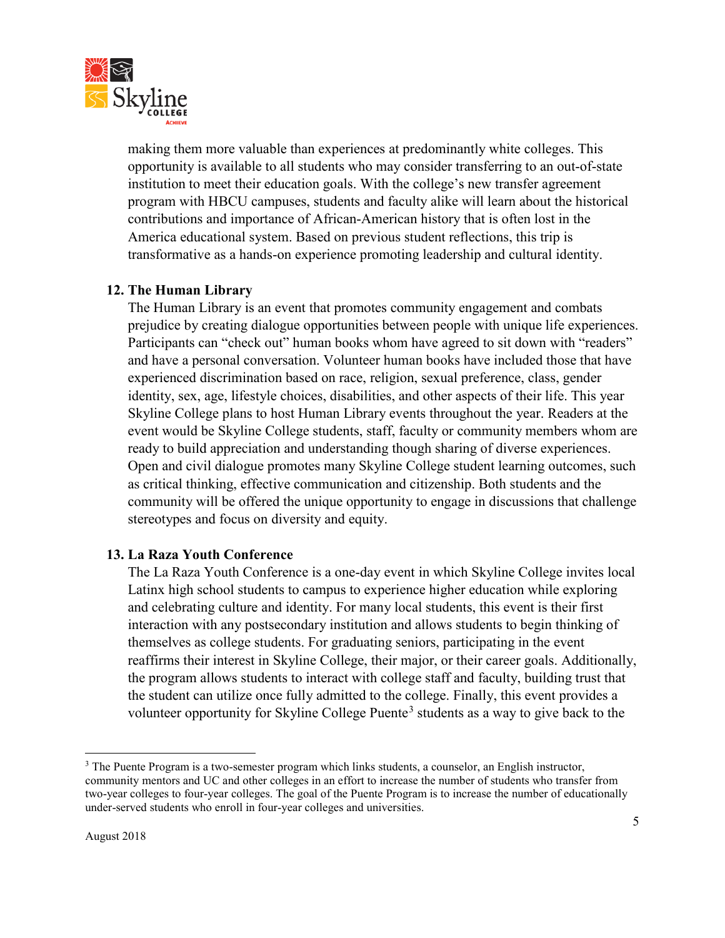

making them more valuable than experiences at predominantly white colleges. This opportunity is available to all students who may consider transferring to an out-of-state institution to meet their education goals. With the college's new transfer agreement program with HBCU campuses, students and faculty alike will learn about the historical contributions and importance of African-American history that is often lost in the America educational system. Based on previous student reflections, this trip is transformative as a hands-on experience promoting leadership and cultural identity.

## **12. The Human Library**

The Human Library is an event that promotes community engagement and combats prejudice by creating dialogue opportunities between people with unique life experiences. Participants can "check out" human books whom have agreed to sit down with "readers" and have a personal conversation. Volunteer human books have included those that have experienced discrimination based on race, religion, sexual preference, class, gender identity, sex, age, lifestyle choices, disabilities, and other aspects of their life. This year Skyline College plans to host Human Library events throughout the year. Readers at the event would be Skyline College students, staff, faculty or community members whom are ready to build appreciation and understanding though sharing of diverse experiences. Open and civil dialogue promotes many Skyline College student learning outcomes, such as critical thinking, effective communication and citizenship. Both students and the community will be offered the unique opportunity to engage in discussions that challenge stereotypes and focus on diversity and equity.

#### **13. La Raza Youth Conference**

The La Raza Youth Conference is a one-day event in which Skyline College invites local Latinx high school students to campus to experience higher education while exploring and celebrating culture and identity. For many local students, this event is their first interaction with any postsecondary institution and allows students to begin thinking of themselves as college students. For graduating seniors, participating in the event reaffirms their interest in Skyline College, their major, or their career goals. Additionally, the program allows students to interact with college staff and faculty, building trust that the student can utilize once fully admitted to the college. Finally, this event provides a volunteer opportunity for Skyline College Puente<sup>[3](#page-4-0)</sup> students as a way to give back to the

 $\overline{\phantom{a}}$ 

<span id="page-4-0"></span><sup>&</sup>lt;sup>3</sup> The Puente Program is a two-semester program which links students, a counselor, an English instructor, community mentors and UC and other colleges in an effort to increase the number of students who transfer from two-year colleges to four-year colleges. The goal of the Puente Program is to increase the number of educationally under-served students who enroll in four-year colleges and universities.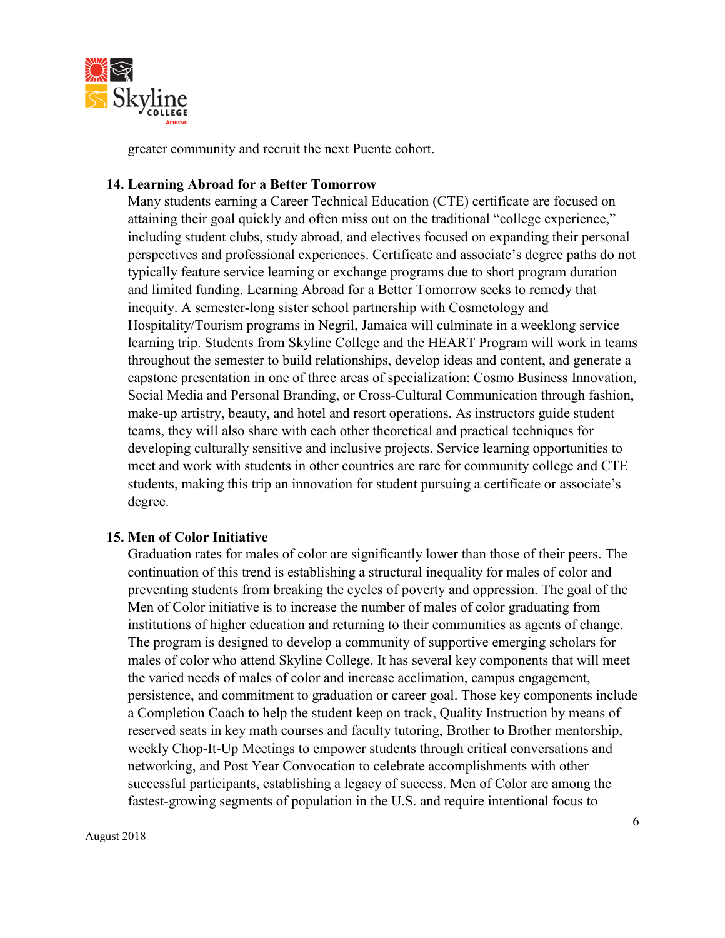

greater community and recruit the next Puente cohort.

#### **14. Learning Abroad for a Better Tomorrow**

Many students earning a Career Technical Education (CTE) certificate are focused on attaining their goal quickly and often miss out on the traditional "college experience," including student clubs, study abroad, and electives focused on expanding their personal perspectives and professional experiences. Certificate and associate's degree paths do not typically feature service learning or exchange programs due to short program duration and limited funding. Learning Abroad for a Better Tomorrow seeks to remedy that inequity. A semester-long sister school partnership with Cosmetology and Hospitality/Tourism programs in Negril, Jamaica will culminate in a weeklong service learning trip. Students from Skyline College and the HEART Program will work in teams throughout the semester to build relationships, develop ideas and content, and generate a capstone presentation in one of three areas of specialization: Cosmo Business Innovation, Social Media and Personal Branding, or Cross-Cultural Communication through fashion, make-up artistry, beauty, and hotel and resort operations. As instructors guide student teams, they will also share with each other theoretical and practical techniques for developing culturally sensitive and inclusive projects. Service learning opportunities to meet and work with students in other countries are rare for community college and CTE students, making this trip an innovation for student pursuing a certificate or associate's degree.

#### **15. Men of Color Initiative**

Graduation rates for males of color are significantly lower than those of their peers. The continuation of this trend is establishing a structural inequality for males of color and preventing students from breaking the cycles of poverty and oppression. The goal of the Men of Color initiative is to increase the number of males of color graduating from institutions of higher education and returning to their communities as agents of change. The program is designed to develop a community of supportive emerging scholars for males of color who attend Skyline College. It has several key components that will meet the varied needs of males of color and increase acclimation, campus engagement, persistence, and commitment to graduation or career goal. Those key components include a Completion Coach to help the student keep on track, Quality Instruction by means of reserved seats in key math courses and faculty tutoring, Brother to Brother mentorship, weekly Chop-It-Up Meetings to empower students through critical conversations and networking, and Post Year Convocation to celebrate accomplishments with other successful participants, establishing a legacy of success. Men of Color are among the fastest-growing segments of population in the U.S. and require intentional focus to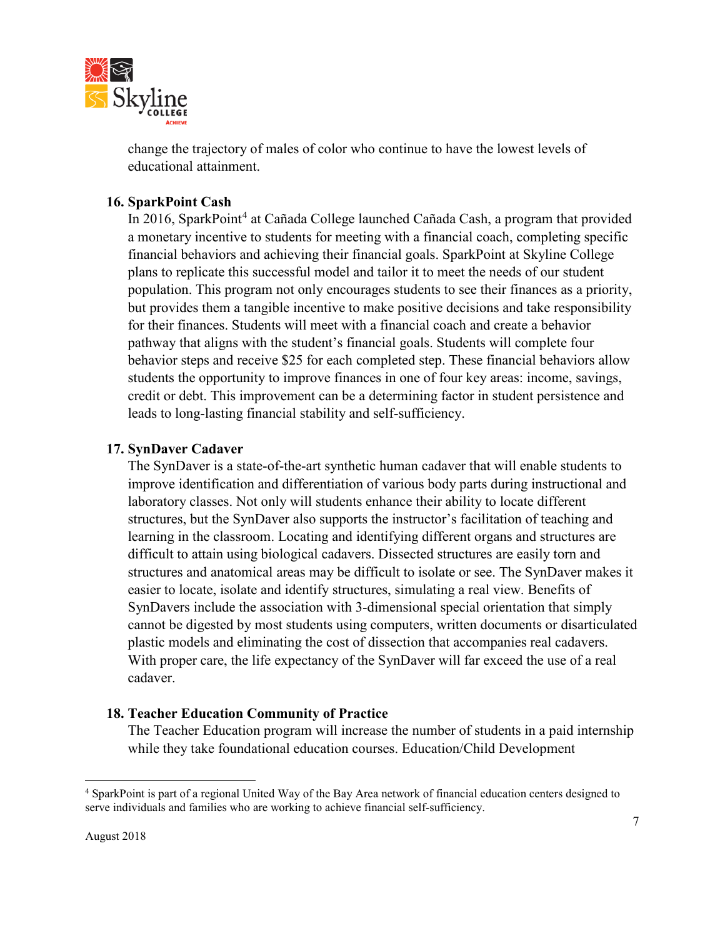

change the trajectory of males of color who continue to have the lowest levels of educational attainment.

## **16. SparkPoint Cash**

In 2016, SparkPoint<sup>[4](#page-6-0)</sup> at Cañada College launched Cañada Cash, a program that provided a monetary incentive to students for meeting with a financial coach, completing specific financial behaviors and achieving their financial goals. SparkPoint at Skyline College plans to replicate this successful model and tailor it to meet the needs of our student population. This program not only encourages students to see their finances as a priority, but provides them a tangible incentive to make positive decisions and take responsibility for their finances. Students will meet with a financial coach and create a behavior pathway that aligns with the student's financial goals. Students will complete four behavior steps and receive \$25 for each completed step. These financial behaviors allow students the opportunity to improve finances in one of four key areas: income, savings, credit or debt. This improvement can be a determining factor in student persistence and leads to long-lasting financial stability and self-sufficiency.

## **17. SynDaver Cadaver**

The SynDaver is a state-of-the-art synthetic human cadaver that will enable students to improve identification and differentiation of various body parts during instructional and laboratory classes. Not only will students enhance their ability to locate different structures, but the SynDaver also supports the instructor's facilitation of teaching and learning in the classroom. Locating and identifying different organs and structures are difficult to attain using biological cadavers. Dissected structures are easily torn and structures and anatomical areas may be difficult to isolate or see. The SynDaver makes it easier to locate, isolate and identify structures, simulating a real view. Benefits of SynDavers include the association with 3-dimensional special orientation that simply cannot be digested by most students using computers, written documents or disarticulated plastic models and eliminating the cost of dissection that accompanies real cadavers. With proper care, the life expectancy of the SynDaver will far exceed the use of a real cadaver.

# **18. Teacher Education Community of Practice**

The Teacher Education program will increase the number of students in a paid internship while they take foundational education courses. Education/Child Development

l

<span id="page-6-0"></span><sup>4</sup> SparkPoint is part of a regional United Way of the Bay Area network of financial education centers designed to serve individuals and families who are working to achieve financial self-sufficiency.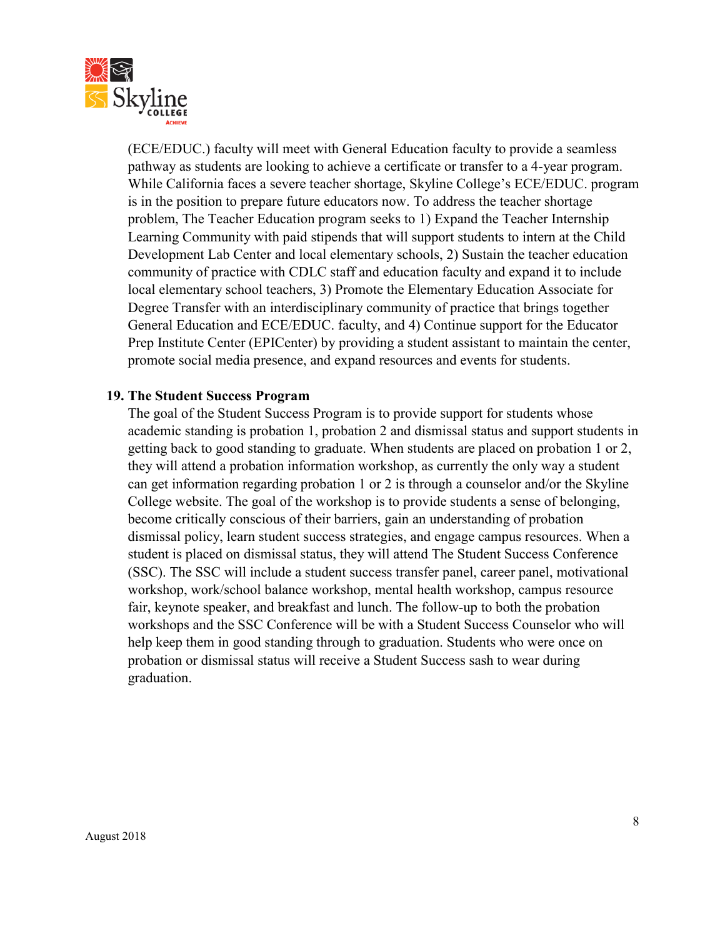

(ECE/EDUC.) faculty will meet with General Education faculty to provide a seamless pathway as students are looking to achieve a certificate or transfer to a 4-year program. While California faces a severe teacher shortage, Skyline College's ECE/EDUC. program is in the position to prepare future educators now. To address the teacher shortage problem, The Teacher Education program seeks to 1) Expand the Teacher Internship Learning Community with paid stipends that will support students to intern at the Child Development Lab Center and local elementary schools, 2) Sustain the teacher education community of practice with CDLC staff and education faculty and expand it to include local elementary school teachers, 3) Promote the Elementary Education Associate for Degree Transfer with an interdisciplinary community of practice that brings together General Education and ECE/EDUC. faculty, and 4) Continue support for the Educator Prep Institute Center (EPICenter) by providing a student assistant to maintain the center, promote social media presence, and expand resources and events for students.

#### **19. The Student Success Program**

The goal of the Student Success Program is to provide support for students whose academic standing is probation 1, probation 2 and dismissal status and support students in getting back to good standing to graduate. When students are placed on probation 1 or 2, they will attend a probation information workshop, as currently the only way a student can get information regarding probation 1 or 2 is through a counselor and/or the Skyline College website. The goal of the workshop is to provide students a sense of belonging, become critically conscious of their barriers, gain an understanding of probation dismissal policy, learn student success strategies, and engage campus resources. When a student is placed on dismissal status, they will attend The Student Success Conference (SSC). The SSC will include a student success transfer panel, career panel, motivational workshop, work/school balance workshop, mental health workshop, campus resource fair, keynote speaker, and breakfast and lunch. The follow-up to both the probation workshops and the SSC Conference will be with a Student Success Counselor who will help keep them in good standing through to graduation. Students who were once on probation or dismissal status will receive a Student Success sash to wear during graduation.